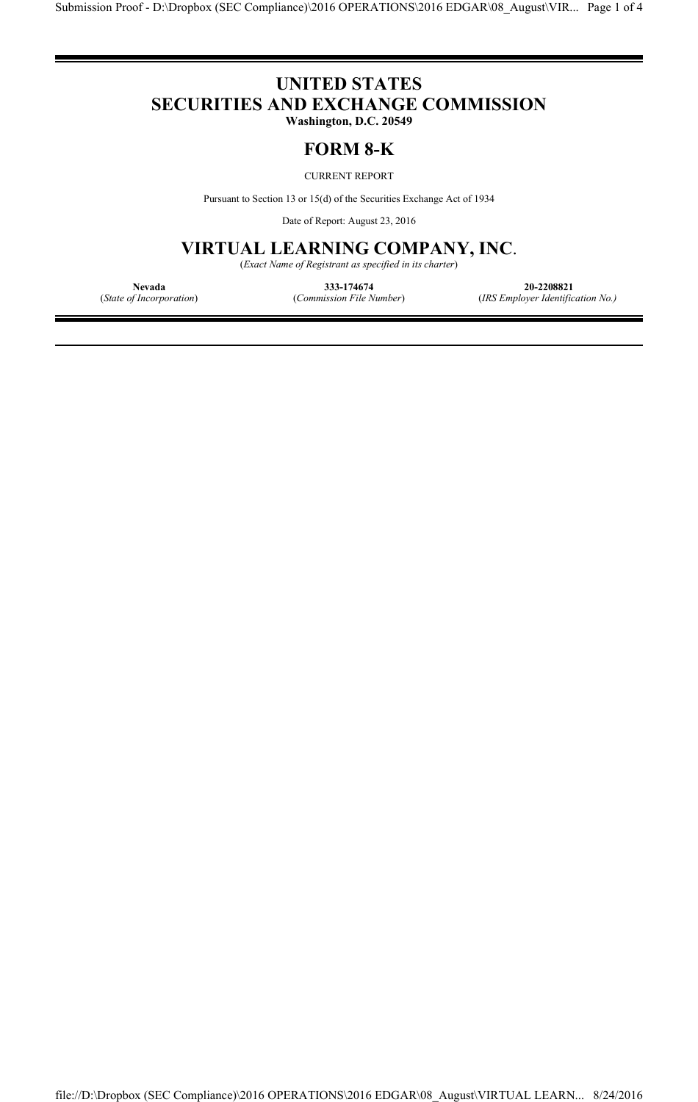# **UNITED STATES SECURITIES AND EXCHANGE COMMISSION**

**Washington, D.C. 20549**

### **FORM 8-K**

#### CURRENT REPORT

Pursuant to Section 13 or 15(d) of the Securities Exchange Act of 1934

Date of Report: August 23, 2016

## **VIRTUAL LEARNING COMPANY, INC**.

(*Exact Name of Registrant as specified in its charter*)

**Nevada 333-174674 20-2208821**

(*State of Incorporation*) (*Commission File Number*) (*IRS Employer Identification No.)*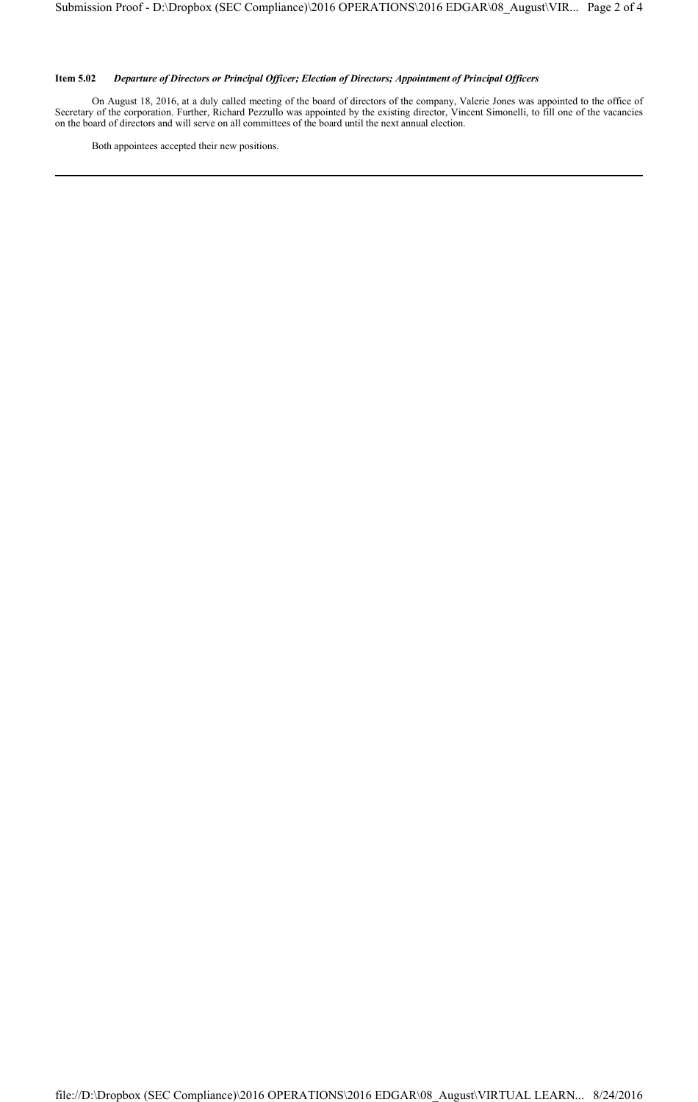#### **Item 5.02** *Departure of Directors or Principal Officer; Election of Directors; Appointment of Principal Officers*

On August 18, 2016, at a duly called meeting of the board of directors of the company, Valerie Jones was appointed to the office of Secretary of the corporation. Further, Richard Pezzullo was appointed by the existing director, Vincent Simonelli, to fill one of the vacancies on the board of directors and will serve on all committees of the board until the next annual election.

Both appointees accepted their new positions.